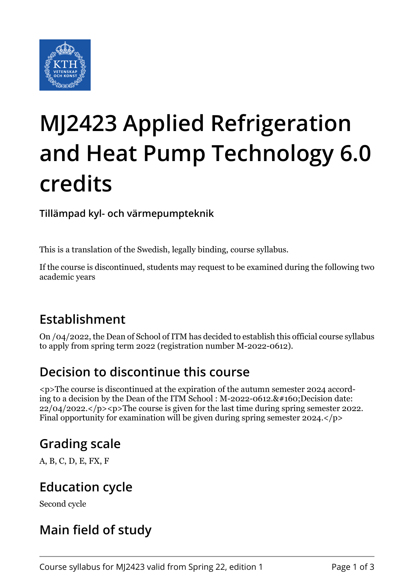

# **MJ2423 Applied Refrigeration and Heat Pump Technology 6.0 credits**

**Tillämpad kyl- och värmepumpteknik**

This is a translation of the Swedish, legally binding, course syllabus.

If the course is discontinued, students may request to be examined during the following two academic years

# **Establishment**

On /04/2022, the Dean of School of ITM has decided to establish this official course syllabus to apply from spring term 2022 (registration number M-2022-0612).

## **Decision to discontinue this course**

<p>The course is discontinued at the expiration of the autumn semester 2024 according to a decision by the Dean of the ITM School :  $M$ -2022-0612. $&\#160$ ; Decision date:  $22/04/2022$ .  $p$  > The course is given for the last time during spring semester 2022. Final opportunity for examination will be given during spring semester 2024.</p>

## **Grading scale**

A, B, C, D, E, FX, F

# **Education cycle**

Second cycle

# **Main field of study**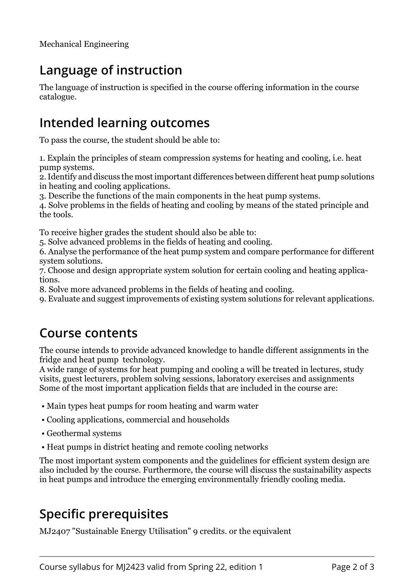# **Language of instruction**

The language of instruction is specified in the course offering information in the course catalogue.

#### **Intended learning outcomes**

To pass the course, the student should be able to:

1. Explain the principles of steam compression systems for heating and cooling, i.e. heat pump systems.

2. Identify and discuss the most important differences between different heat pump solutions in heating and cooling applications.

3. Describe the functions of the main components in the heat pump systems.

4. Solve problems in the fields of heating and cooling by means of the stated principle and the tools.

To receive higher grades the student should also be able to:

5. Solve advanced problems in the fields of heating and cooling.

6. Analyse the performance of the heat pump system and compare performance for different system solutions.

7. Choose and design appropriate system solution for certain cooling and heating applications.

8. Solve more advanced problems in the fields of heating and cooling.

9. Evaluate and suggest improvements of existing system solutions for relevant applications.

#### **Course contents**

The course intends to provide advanced knowledge to handle different assignments in the fridge and heat pump technology.

A wide range of systems for heat pumping and cooling a will be treated in lectures, study visits, guest lecturers, problem solving sessions, laboratory exercises and assignments Some of the most important application fields that are included in the course are:

- Main types heat pumps for room heating and warm water
- Cooling applications, commercial and households
- Geothermal systems
- Heat pumps in district heating and remote cooling networks

The most important system components and the guidelines for efficient system design are also included by the course. Furthermore, the course will discuss the sustainability aspects in heat pumps and introduce the emerging environmentally friendly cooling media.

## **Specific prerequisites**

MJ2407 "Sustainable Energy Utilisation" 9 credits. or the equivalent